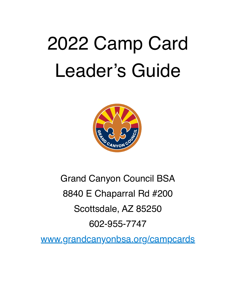# 2022 Camp Card Leader's Guide



# Grand Canyon Council BSA 8840 E Chaparral Rd #200 Scottsdale, AZ 85250 602-955-7747

[www.grandcanyonbsa.org/campcard](http://www.grandcanyonbsa.org/campcard)s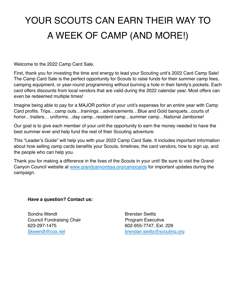## YOUR SCOUTS CAN EARN THEIR WAY TO A WEEK OF CAMP (AND MORE!)

Welcome to the 2022 Camp Card Sale,

First, thank you for investing the time and energy to lead your Scouting unit's 2022 Card Camp Sale! The Camp Card Sale is the perfect opportunity for Scouts to raise funds for their summer camp fees, camping equipment, or year-round programming without burning a hole in their family's pockets. Each card offers discounts from local vendors that are valid during the 2022 calendar year. Most offers can even be redeemed multiple times!

Imagine being able to pay for a MAJOR portion of your unit's expenses for an entire year with Camp Card profits. Trips…camp outs…trainings…advancements…Blue and Gold banquets...courts of honor…trailers… uniforms…day camp…resident camp…summer camp…National Jamboree!

Our goal is to give each member of your unit the opportunity to earn the money needed to have the best summer ever and help fund the rest of their Scouting adventure.

This "Leader's Guide" will help you with your 2022 Camp Card Sale. It includes important information about how selling camp cards benefits your Scouts, timelines, the card vendors, how to sign up, and the people who can help you.

Thank you for making a difference in the lives of the Scouts in your unit! Be sure to visit the Grand Canyon Council website at [www.grandcanyonbsa.org/campcards](http://www.grandcanyonbsa.org/campcard) for important updates during the campaign.

#### **Have a question? Contact us:**

Sondra Wendt **Brendan Switts** Council Fundraising Chair **Program Executive** 623-297-1475 602-955-7747, Ext. 229

[Skwendt@cox.net](mailto:Skwendt@cox.net) [brendan.switts@scouting.org](%22mailto:)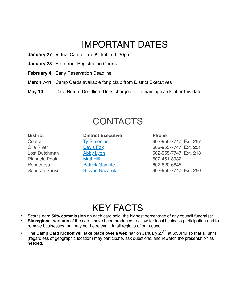### IMPORTANT DATES

- **January 27** Virtual Camp Card Kickoff at 6:30pm
- **January 28** Storefront Registration Opens
- **February 4** Early Reservation Deadline
- **March 7-11** Camp Cards available for pickup from District Executives
- **May 13** Card Return Deadline. Units charged for remaining cards after this date.

### **CONTACTS**

## **District District Executive Phone**  Pinnacle Peak [Matt Hill](mailto:matthew.hill@scouting.org) 602-451-8932 Ponderosa **[Patrick Gamble](mailto:patrick.gamble@scouting.org) 602-820-6845**

Central [Ty Simonian](mailto:TySimonian@scouting.org) 602-955-7747, Ext. 257 Gila River **[Davis Fox](mailto:davis.fox@scouting.org) Davis Fox** 602-955-7747, Ext. 251 Lost Dutchman [Abby Lyon](mailto:abby.lyon@scouting.org) 602-955-7747, Ext. 218 Sonoran Sunset [Steven Nazaruk](mailto:steven.nazaruk@scouting.org) 602-955-7747, Ext. 250

### KEY FACTS

- Scouts earn **50% commission** on each card sold, the highest percentage of any council fundraiser.
- **Six regional variants** of the cards have been produced to allow for local business participation and to remove businesses that may not be relevant in all regions of our council.
- **The Camp Card Kickoff will take place over a webinar** on January 27<sup>th</sup> at 6:30PM so that all units (regardless of geographic location) may participate, ask questions, and rewatch the presentation as needed.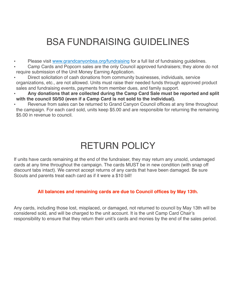### BSA FUNDRAISING GUIDELINES

- Please visit [www.grandcanyonbsa.org/fundraising](https://www.grandcanyonbsa.org/fundraising%22%20%5Ct%20%22_blank) for a full list of fundraising guidelines.
- Camp Cards and Popcorn sales are the only Council approved fundraisers; they alone do not require submission of the Unit Money Earning Application.
- Direct solicitation of cash donations from community businesses, individuals, service organizations, etc., are not allowed. Units must raise their needed funds through approved product sales and fundraising events, payments from member dues, and family support.
- **Any donations that are collected during the Camp Card Sale must be reported and split with the council 50/50 (even if a Camp Card is not sold to the individual).**
- Revenue from sales can be returned to Grand Canyon Council offices at any time throughout the campaign. For each card sold, units keep \$5.00 and are responsible for returning the remaining \$5.00 in revenue to council.

### RETURN POLICY

If units have cards remaining at the end of the fundraiser, they may return any unsold, undamaged cards at any time throughout the campaign. The cards MUST be in new condition (with snap off discount tabs intact). We cannot accept returns of any cards that have been damaged. Be sure Scouts and parents treat each card as if it were a \$10 bill!

### **All balances and remaining cards are due to Council offices by May 13th.**

Any cards, including those lost, misplaced, or damaged, not returned to council by May 13th will be considered sold, and will be charged to the unit account. It is the unit Camp Card Chair's responsibility to ensure that they return their unit's cards and monies by the end of the sales period.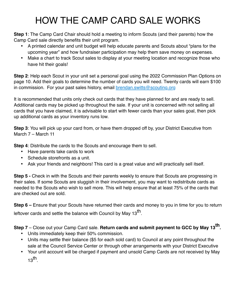### HOW THE CAMP CARD SALE WORKS

**Step 1**: The Camp Card Chair should hold a meeting to inform Scouts (and their parents) how the Camp Card sale directly benefits their unit program.

- A printed calendar and unit budget will help educate parents and Scouts about "plans for the upcoming year" and how fundraiser participation may help them save money on expenses.
- Make a chart to track Scout sales to display at your meeting location and recognize those who have hit their goals!

**Step 2**: Help each Scout in your unit set a personal goal using the 2022 Commission Plan Options on page 10. Add their goals to determine the number of cards you will need. Twenty cards will earn \$100 in commission. For your past sales history, email **[brendan.switts@scouting.org](mailto:brendan.switts@scouting.org)** 

It is recommended that units only check out cards that they have planned for and are ready to sell. Additional cards may be picked up throughout the sale. If your unit is concerned with not selling all cards that you have claimed, it is advisable to start with fewer cards than your sales goal, then pick up additional cards as your inventory runs low.

**Step 3**: You will pick up your card from, or have them dropped off by, your District Executive from March 7 – March 11

**Step 4**: Distribute the cards to the Scouts and encourage them to sell.

- Have parents take cards to work
- Schedule storefronts as a unit.
- Ask your friends and neighbors! This card is a great value and will practically sell itself.

**Step 5 -** Check in with the Scouts and their parents weekly to ensure that Scouts are progressing in their sales. If some Scouts are sluggish in their involvement, you may want to redistribute cards as needed to the Scouts who wish to sell more. This will help ensure that at least 75% of the cards that are checked out are sold.

**Step 6 –** Ensure that your Scouts have returned their cards and money to you in time for you to return leftover cards and settle the balance with Council by May  $13<sup>th</sup>$ .

**Step 7** – Close out your Camp Card sale. **Return cards and submit payment to GCC by May 13th.**

- Units immediately keep their 50% commission.
- Units may settle their balance (\$5 for each sold card) to Council at any point throughout the sale at the Council Service Center or through other arrangements with your District Executive
- Your unit account will be charged if payment and unsold Camp Cards are not received by May  $13$ th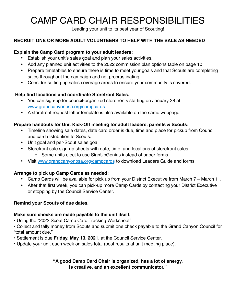### CAMP CARD CHAIR RESPONSIBILITIES

Leading your unit to its best year of Scouting!

### **RECRUIT ONE OR MORE ADULT VOLUNTEERS TO HELP WITH THE SALE AS NEEDED**

#### **Explain the Camp Card program to your adult leaders:**

- Establish your unit's sales goal and plan your sales activities.
- Add any planned unit activities to the 2022 commission plan options table on page 10.
- Prepare timetables to ensure there is time to meet your goals and that Scouts are completing sales throughout the campaign and not procrastinating.
- Consider setting up sales coverage areas to ensure your community is covered.

#### **Help find locations and coordinate Storefront Sales.**

- You can sign-up for council-organized storefronts starting on January 28 at [www.grandcanyonbsa.org/campcards](http://www.grandcanyonbsa.org/campcards)
- A storefront request letter template is also available on the same webpage.

#### **Prepare handouts for Unit Kick-Off meeting for adult leaders, parents & Scouts:**

- Timeline showing sale dates, date card order is due, time and place for pickup from Council, and card distribution to Scouts.
- Unit goal and per-Scout sales goal.
- Storefront sale sign-up sheets with date, time, and locations of storefront sales.
	- o Some units elect to use SignUpGenius instead of paper forms.
- Visit [www.grandcanyonbsa.org/campcards](http://www.grandcanyonbsa.org/campcard) to download Leaders Guide and forms.

### **Arrange to pick up Camp Cards as needed:**

- Camp Cards will be available for pick up from your District Executive from March 7 March 11.
- After that first week, you can pick-up more Camp Cards by contacting your District Executive or stopping by the Council Service Center.

#### **Remind your Scouts of due dates.**

#### **Make sure checks are made payable to the unit itself.**

• Using the "2022 Scout Camp Card Tracking Worksheet"

- Collect and tally money from Scouts and submit one check payable to the Grand Canyon Council for "total amount due."
- Settlement is due **Friday, May 13, 2021**, at the Council Service Center.
- Update your unit each week on sales total (post results at unit meeting place).

**"A good Camp Card Chair is organized, has a lot of energy, is creative, and an excellent communicator."**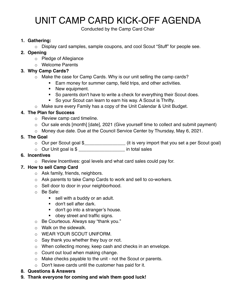### UNIT CAMP CARD KICK-OFF AGENDA

Conducted by the Camp Card Chair

#### **1. Gathering:**

o Display card samples, sample coupons, and cool Scout "Stuff" for people see.

#### **2. Opening**

- o Pledge of Allegiance
- o Welcome Parents

#### **3. Why Camp Cards?**

- o Make the case for Camp Cards. Why is our unit selling the camp cards?
	- **Earn money for summer camp, field trips, and other activities.**
	- **New equipment.**
	- ! So parents don't have to write a check for everything their Scout does.
	- ! So your Scout can learn to earn his way. A Scout is Thrifty.
- o Make sure every Family has a copy of the Unit Calendar & Unit Budget.

#### **4. The Plan for Success**

- o Review camp card timeline.
- o Our sale ends [month] [date], 2021 (Give yourself time to collect and submit payment)
- o Money due date. Due at the Council Service Center by Thursday, May 6, 2021.

#### **5. The Goal**

- o Our per Scout goal \$\_\_\_\_\_\_\_\_\_\_\_\_\_\_\_\_ (it is very import that you set a per Scout goal)
- o Our Unit goal is \$ \_\_\_\_\_\_\_\_\_\_\_\_\_\_\_\_\_\_ in total sales

#### **6. Incentives**

o Review Incentives: goal levels and what card sales could pay for.

#### **7. How to sell Camp Card**

- o Ask family, friends, neighbors.
- o Ask parents to take Camp Cards to work and sell to co-workers.
- o Sell door to door in your neighborhood.
- o Be Safe:
	- **sell with a buddy or an adult.**
	- **don't sell after dark.**
	- **don't go into a stranger's house.**
	- **Deadler 1** obey street and traffic signs.
- o Be Courteous. Always say "thank you."
- o Walk on the sidewalk.
- o WEAR YOUR SCOUT UNIFORM.
- o Say thank you whether they buy or not.
- o When collecting money, keep cash and checks in an envelope.
- o Count out loud when making change.
- o Make checks payable to the unit not the Scout or parents.
- o Don't leave cards until the customer has paid for it.
- **8. Questions & Answers**
- **9. Thank everyone for coming and wish them good luck!**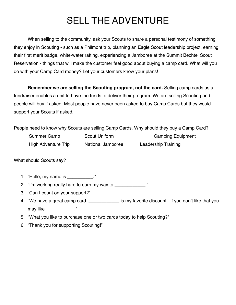### SELL THE ADVENTURE

When selling to the community, ask your Scouts to share a personal testimony of something they enjoy in Scouting - such as a Philmont trip, planning an Eagle Scout leadership project, earning their first merit badge, white-water rafting, experiencing a Jamboree at the Summit Bechtel Scout Reservation - things that will make the customer feel good about buying a camp card. What will you do with your Camp Card money? Let your customers know your plans!

**Remember we are selling the Scouting program, not the card.** Selling camp cards as a fundraiser enables a unit to have the funds to deliver their program. We are selling Scouting and people will buy if asked. Most people have never been asked to buy Camp Cards but they would support your Scouts if asked.

People need to know why Scouts are selling Camp Cards. Why should they buy a Camp Card?

| Summer Camp                | Scout Uniform     | <b>Camping Equipment</b>   |
|----------------------------|-------------------|----------------------------|
| <b>High Adventure Trip</b> | National Jamboree | <b>Leadership Training</b> |

What should Scouts say?

- 1. "Hello, my name is \_\_\_\_\_\_\_\_\_\_."
- 2. "I'm working really hard to earn my way to \_\_\_\_\_\_\_\_\_\_\_\_\_."
- 3. "Can I count on your support?"
- 4. "We have a great camp card. \_\_\_\_\_\_\_\_\_\_\_\_\_ is my favorite discount if you don't like that you may like \_\_\_\_\_\_\_\_\_\_\_."
- 5. "What you like to purchase one or two cards today to help Scouting?"
- 6. "Thank you for supporting Scouting!"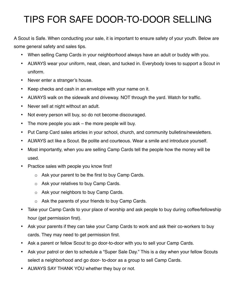### TIPS FOR SAFE DOOR-TO-DOOR SELLING

A Scout is Safe. When conducting your sale, it is important to ensure safety of your youth. Below are some general safety and sales tips.

- When selling Camp Cards in your neighborhood always have an adult or buddy with you.
- ALWAYS wear your uniform, neat, clean, and tucked in. Everybody loves to support a Scout in uniform.
- Never enter a stranger's house.
- Keep checks and cash in an envelope with your name on it.
- ALWAYS walk on the sidewalk and driveway. NOT through the yard. Watch for traffic.
- Never sell at night without an adult.
- Not every person will buy, so do not become discouraged.
- The more people you ask the more people will buy.
- Put Camp Card sales articles in your school, church, and community bulletins/newsletters.
- ALWAYS act like a Scout. Be polite and courteous. Wear a smile and introduce yourself.
- Most importantly, when you are selling Camp Cards tell the people how the money will be used.
- Practice sales with people you know first!
	- o Ask your parent to be the first to buy Camp Cards.
	- o Ask your relatives to buy Camp Cards.
	- o Ask your neighbors to buy Camp Cards.
	- o Ask the parents of your friends to buy Camp Cards.
- Take your Camp Cards to your place of worship and ask people to buy during coffee/fellowship hour (get permission first).
- Ask your parents if they can take your Camp Cards to work and ask their co-workers to buy cards. They may need to get permission first.
- Ask a parent or fellow Scout to go door-to-door with you to sell your Camp Cards.
- Ask your patrol or den to schedule a "Super Sale Day." This is a day when your fellow Scouts select a neighborhood and go door- to-door as a group to sell Camp Cards.
- ALWAYS SAY THANK YOU whether they buy or not.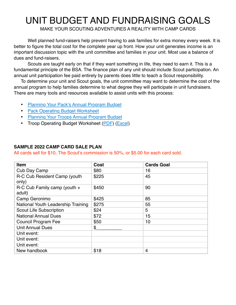### UNIT BUDGET AND FUNDRAISING GOALS

MAKE YOUR SCOUTING ADVENTURES A REALITY WITH CAMP CARDS

Well planned fund-raisers help prevent having to ask families for extra money every week. It is better to figure the total cost for the complete year up front. How your unit generates income is an important discussion topic with the unit committee and families in your unit. Most use a balance of dues and fund-raisers.

Scouts are taught early on that if they want something in life, they need to earn it. This is a fundamental principle of the BSA. The finance plan of any unit should include Scout participation. An annual unit participation fee paid entirely by parents does little to teach a Scout responsibility.

To determine your unit and Scout goals, the unit committee may want to determine the cost of the annual program to help families determine to what degree they will participate in unit fundraisers. There are many tools and resources available to assist units with this process:

- [Planning Your Pack's Annual Program Budget](https://www.scouting.org/wp-content/uploads/2021/01/Planning-Your-Annual-Pack-Budget.pdf)
- [Pack Operating Budget Worksheet](https://filestore.scouting.org/filestore/pdf/510-278_wb.pdf)
- [Planning Your Troops Annual Program Budget](https://filestore.scouting.org/filestore/boyscouts/pdf/510-275.pdf)
- Troop Operating Budget Worksheet [\(PDF](https://filestore.scouting.org/filestore/boyscouts/pdf/510-277_WB.pdf)) [\(Excel\)](https://filestore.scouting.org/filestore/boyscouts/xls/510-277.org.xls)

#### **SAMPLE 2022 CAMP CARD SALE PLAN**

All cards sell for \$10. The Scout's commission is 50%, or \$5.00 for each card sold.

| Item                                       | Cost  | <b>Cards Goal</b> |
|--------------------------------------------|-------|-------------------|
| Cub Day Camp                               | \$80  | 16                |
| R-C Cub Resident Camp (youth<br>only)      | \$225 | 45                |
| $R-C$ Cub Family camp (youth $+$<br>adult) | \$450 | 90                |
| Camp Geronimo                              | \$425 | 85                |
| National Youth Leadership Training         | \$275 | 55                |
| <b>Scout Life Subscription</b>             | \$24  | 5                 |
| <b>National Annual Dues</b>                | \$72  | 15                |
| Council Program Fee                        | \$50  | 10                |
| <b>Unit Annual Dues</b>                    | \$    |                   |
| Unit event:                                |       |                   |
| Unit event:                                |       |                   |
| Unit event:                                |       |                   |
| New handbook                               | \$18  | 4                 |